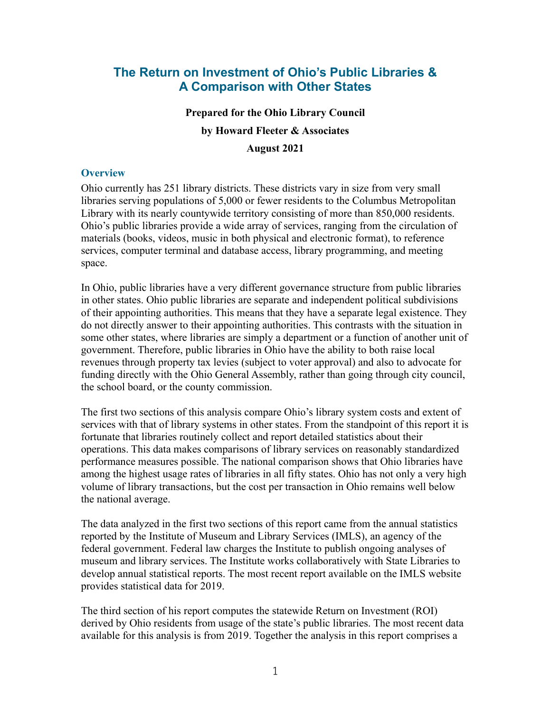## **The Return on Investment of Ohio's Public Libraries & A Comparison with Other States**

# **Prepared for the Ohio Library Council by Howard Fleeter & Associates August 2021**

#### **Overview**

Ohio currently has 251 library districts. These districts vary in size from very small libraries serving populations of 5,000 or fewer residents to the Columbus Metropolitan Library with its nearly countywide territory consisting of more than 850,000 residents. Ohio's public libraries provide a wide array of services, ranging from the circulation of materials (books, videos, music in both physical and electronic format), to reference services, computer terminal and database access, library programming, and meeting space.

In Ohio, public libraries have a very different governance structure from public libraries in other states. Ohio public libraries are separate and independent political subdivisions of their appointing authorities. This means that they have a separate legal existence. They do not directly answer to their appointing authorities. This contrasts with the situation in some other states, where libraries are simply a department or a function of another unit of government. Therefore, public libraries in Ohio have the ability to both raise local revenues through property tax levies (subject to voter approval) and also to advocate for funding directly with the Ohio General Assembly, rather than going through city council, the school board, or the county commission.

The first two sections of this analysis compare Ohio's library system costs and extent of services with that of library systems in other states. From the standpoint of this report it is fortunate that libraries routinely collect and report detailed statistics about their operations. This data makes comparisons of library services on reasonably standardized performance measures possible. The national comparison shows that Ohio libraries have among the highest usage rates of libraries in all fifty states. Ohio has not only a very high volume of library transactions, but the cost per transaction in Ohio remains well below the national average.

The data analyzed in the first two sections of this report came from the annual statistics reported by the Institute of Museum and Library Services (IMLS), an agency of the federal government. Federal law charges the Institute to publish ongoing analyses of museum and library services. The Institute works collaboratively with State Libraries to develop annual statistical reports. The most recent report available on the IMLS website provides statistical data for 2019.

The third section of his report computes the statewide Return on Investment (ROI) derived by Ohio residents from usage of the state's public libraries. The most recent data available for this analysis is from 2019. Together the analysis in this report comprises a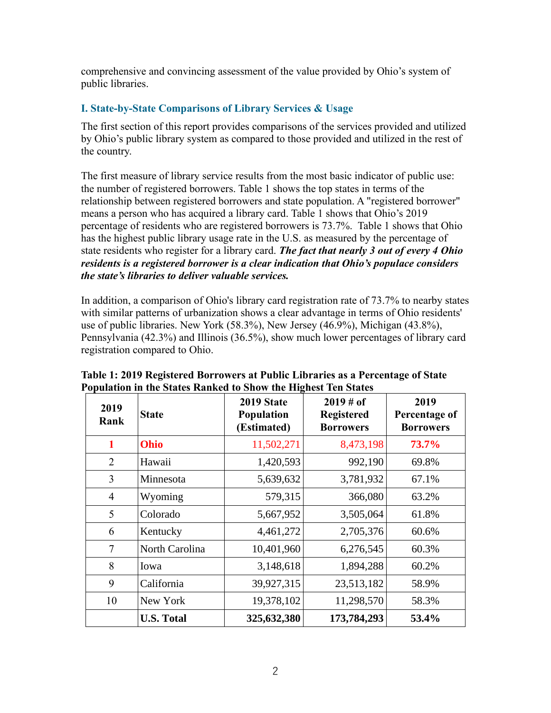comprehensive and convincing assessment of the value provided by Ohio's system of public libraries.

## **I. State-by-State Comparisons of Library Services & Usage**

The first section of this report provides comparisons of the services provided and utilized by Ohio's public library system as compared to those provided and utilized in the rest of the country.

The first measure of library service results from the most basic indicator of public use: the number of registered borrowers. Table 1 shows the top states in terms of the relationship between registered borrowers and state population. A "registered borrower" means a person who has acquired a library card. Table 1 shows that Ohio's 2019 percentage of residents who are registered borrowers is 73.7%. Table 1 shows that Ohio has the highest public library usage rate in the U.S. as measured by the percentage of state residents who register for a library card. *The fact that nearly 3 out of every 4 Ohio residents is a registered borrower is a clear indication that Ohio's populace considers the state's libraries to deliver valuable services.*

In addition, a comparison of Ohio's library card registration rate of 73.7% to nearby states with similar patterns of urbanization shows a clear advantage in terms of Ohio residents' use of public libraries. New York (58.3%), New Jersey (46.9%), Michigan (43.8%), Pennsylvania (42.3%) and Illinois (36.5%), show much lower percentages of library card registration compared to Ohio.

| 2019<br>Rank   | <b>State</b>      | 2019 State<br><b>Population</b><br>(Estimated) | $2019 \# of$<br><b>Registered</b><br><b>Borrowers</b> | 2019<br>Percentage of<br><b>Borrowers</b> |
|----------------|-------------------|------------------------------------------------|-------------------------------------------------------|-------------------------------------------|
| 1              | <b>Ohio</b>       | 11,502,271                                     | 8,473,198                                             | 73.7%                                     |
| $\overline{2}$ | Hawaii            | 1,420,593                                      | 992,190                                               | 69.8%                                     |
| 3              | Minnesota         | 5,639,632                                      | 3,781,932                                             | 67.1%                                     |
| $\overline{4}$ | Wyoming           | 579,315                                        | 366,080                                               | 63.2%                                     |
| 5              | Colorado          | 5,667,952                                      | 3,505,064                                             | 61.8%                                     |
| 6              | Kentucky          | 4,461,272                                      | 2,705,376                                             | 60.6%                                     |
| 7              | North Carolina    | 10,401,960                                     | 6,276,545                                             | 60.3%                                     |
| 8              | Iowa              | 3,148,618                                      | 1,894,288                                             | 60.2%                                     |
| 9              | California        | 39,927,315                                     | 23,513,182                                            | 58.9%                                     |
| 10             | New York          | 19,378,102                                     | 11,298,570                                            | 58.3%                                     |
|                | <b>U.S. Total</b> | 325,632,380                                    | 173,784,293                                           | 53.4%                                     |

**Table 1: 2019 Registered Borrowers at Public Libraries as a Percentage of State Population in the States Ranked to Show the Highest Ten States**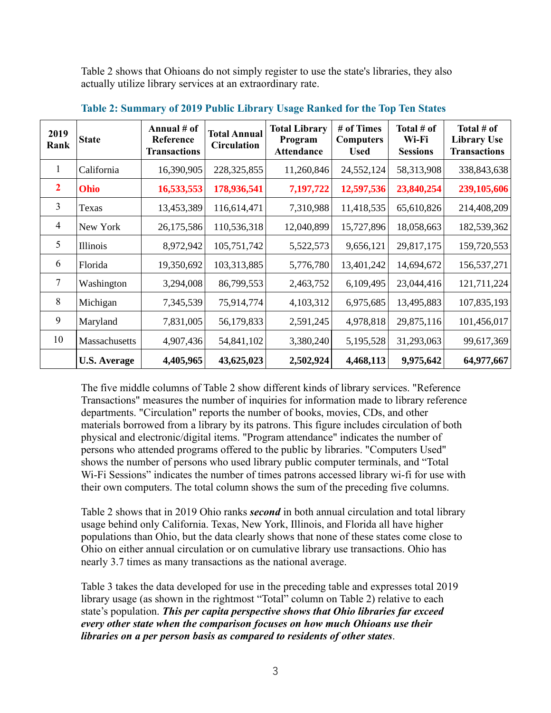Table 2 shows that Ohioans do not simply register to use the state's libraries, they also actually utilize library services at an extraordinary rate.

| 2019<br>Rank   | <b>State</b>        | Annual # of<br>Reference<br><b>Transactions</b> | <b>Total Annual</b><br><b>Circulation</b> | <b>Total Library</b><br>Program<br><b>Attendance</b> | # of Times<br><b>Computers</b><br><b>Used</b> | Total # of<br>Wi-Fi<br><b>Sessions</b> | Total # of<br><b>Library Use</b><br><b>Transactions</b> |
|----------------|---------------------|-------------------------------------------------|-------------------------------------------|------------------------------------------------------|-----------------------------------------------|----------------------------------------|---------------------------------------------------------|
| 1              | California          | 16,390,905                                      | 228, 325, 855                             | 11,260,846                                           | 24,552,124                                    | 58,313,908                             | 338,843,638                                             |
| $\overline{2}$ | Ohio                | 16,533,553                                      | 178,936,541                               | 7,197,722                                            | 12,597,536                                    | 23,840,254                             | 239,105,606                                             |
| 3              | Texas               | 13,453,389                                      | 116,614,471                               | 7,310,988                                            | 11,418,535                                    | 65,610,826                             | 214,408,209                                             |
| 4              | New York            | 26,175,586                                      | 110,536,318                               | 12,040,899                                           | 15,727,896                                    | 18,058,663                             | 182,539,362                                             |
| 5              | Illinois            | 8,972,942                                       | 105,751,742                               | 5,522,573                                            | 9,656,121                                     | 29,817,175                             | 159,720,553                                             |
| 6              | Florida             | 19,350,692                                      | 103,313,885                               | 5,776,780                                            | 13,401,242                                    | 14,694,672                             | 156,537,271                                             |
| 7              | Washington          | 3,294,008                                       | 86,799,553                                | 2,463,752                                            | 6,109,495                                     | 23,044,416                             | 121,711,224                                             |
| 8              | Michigan            | 7,345,539                                       | 75,914,774                                | 4,103,312                                            | 6,975,685                                     | 13,495,883                             | 107,835,193                                             |
| 9              | Maryland            | 7,831,005                                       | 56,179,833                                | 2,591,245                                            | 4,978,818                                     | 29,875,116                             | 101,456,017                                             |
| 10             | Massachusetts       | 4,907,436                                       | 54,841,102                                | 3,380,240                                            | 5,195,528                                     | 31,293,063                             | 99,617,369                                              |
|                | <b>U.S. Average</b> | 4,405,965                                       | 43,625,023                                | 2,502,924                                            | 4,468,113                                     | 9,975,642                              | 64,977,667                                              |

**Table 2: Summary of 2019 Public Library Usage Ranked for the Top Ten States** 

The five middle columns of Table 2 show different kinds of library services. "Reference Transactions" measures the number of inquiries for information made to library reference departments. "Circulation" reports the number of books, movies, CDs, and other materials borrowed from a library by its patrons. This figure includes circulation of both physical and electronic/digital items. "Program attendance" indicates the number of persons who attended programs offered to the public by libraries. "Computers Used" shows the number of persons who used library public computer terminals, and "Total Wi-Fi Sessions" indicates the number of times patrons accessed library wi-fi for use with their own computers. The total column shows the sum of the preceding five columns.

Table 2 shows that in 2019 Ohio ranks *second* in both annual circulation and total library usage behind only California. Texas, New York, Illinois, and Florida all have higher populations than Ohio, but the data clearly shows that none of these states come close to Ohio on either annual circulation or on cumulative library use transactions. Ohio has nearly 3.7 times as many transactions as the national average.

Table 3 takes the data developed for use in the preceding table and expresses total 2019 library usage (as shown in the rightmost "Total" column on Table 2) relative to each state's population. *This per capita perspective shows that Ohio libraries far exceed every other state when the comparison focuses on how much Ohioans use their libraries on a per person basis as compared to residents of other states*.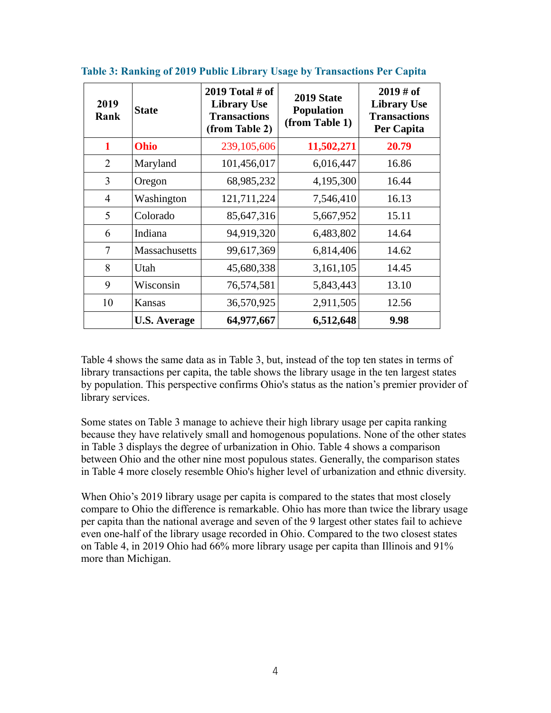| 2019<br>Rank   | <b>State</b>         | 2019 Total $#$ of<br><b>Library Use</b><br><b>Transactions</b><br>(from Table 2) | 2019 State<br><b>Population</b><br>(from Table 1) | $2019 \# of$<br><b>Library Use</b><br><b>Transactions</b><br>Per Capita |
|----------------|----------------------|----------------------------------------------------------------------------------|---------------------------------------------------|-------------------------------------------------------------------------|
| 1              | Ohio                 | 239, 105, 606                                                                    | 11,502,271                                        | 20.79                                                                   |
| $\overline{2}$ | Maryland             | 101,456,017                                                                      | 6,016,447                                         | 16.86                                                                   |
| 3              | Oregon               | 68,985,232                                                                       | 4,195,300                                         | 16.44                                                                   |
| $\overline{4}$ | Washington           | 121,711,224                                                                      | 7,546,410                                         | 16.13                                                                   |
| 5              | Colorado             | 85,647,316                                                                       | 5,667,952                                         | 15.11                                                                   |
| 6              | Indiana              | 94,919,320                                                                       | 6,483,802                                         | 14.64                                                                   |
| 7              | <b>Massachusetts</b> | 99,617,369                                                                       | 6,814,406                                         | 14.62                                                                   |
| 8              | Utah                 | 45,680,338                                                                       | 3,161,105                                         | 14.45                                                                   |
| 9              | Wisconsin            | 76,574,581                                                                       | 5,843,443                                         | 13.10                                                                   |
| 10             | Kansas               | 36,570,925                                                                       | 2,911,505                                         | 12.56                                                                   |
|                | <b>U.S. Average</b>  | 64,977,667                                                                       | 6,512,648                                         | 9.98                                                                    |

**Table 3: Ranking of 2019 Public Library Usage by Transactions Per Capita**

Table 4 shows the same data as in Table 3, but, instead of the top ten states in terms of library transactions per capita, the table shows the library usage in the ten largest states by population. This perspective confirms Ohio's status as the nation's premier provider of library services.

Some states on Table 3 manage to achieve their high library usage per capita ranking because they have relatively small and homogenous populations. None of the other states in Table 3 displays the degree of urbanization in Ohio. Table 4 shows a comparison between Ohio and the other nine most populous states. Generally, the comparison states in Table 4 more closely resemble Ohio's higher level of urbanization and ethnic diversity.

When Ohio's 2019 library usage per capita is compared to the states that most closely compare to Ohio the difference is remarkable. Ohio has more than twice the library usage per capita than the national average and seven of the 9 largest other states fail to achieve even one-half of the library usage recorded in Ohio. Compared to the two closest states on Table 4, in 2019 Ohio had 66% more library usage per capita than Illinois and 91% more than Michigan.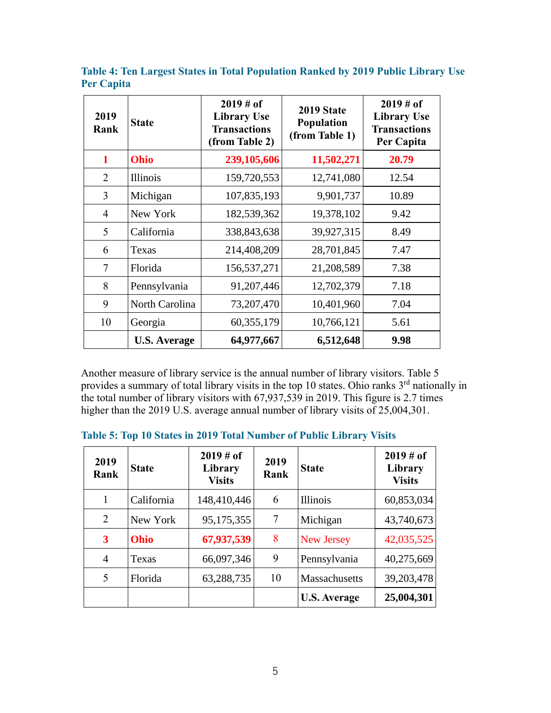| 2019<br>Rank   | <b>State</b>        | $2019 \# of$<br><b>Library Use</b><br><b>Transactions</b><br>(from Table 2) | 2019 State<br><b>Population</b><br>(from Table 1) | $2019 \# of$<br><b>Library Use</b><br><b>Transactions</b><br>Per Capita |
|----------------|---------------------|-----------------------------------------------------------------------------|---------------------------------------------------|-------------------------------------------------------------------------|
| 1              | Ohio                | 239,105,606                                                                 | 11,502,271                                        | 20.79                                                                   |
| 2              | <b>Illinois</b>     | 159,720,553                                                                 | 12,741,080                                        | 12.54                                                                   |
| 3              | Michigan            | 107,835,193                                                                 | 9,901,737                                         | 10.89                                                                   |
| $\overline{4}$ | New York            | 182,539,362                                                                 | 19,378,102                                        | 9.42                                                                    |
| 5              | California          | 338, 843, 638                                                               | 39,927,315                                        | 8.49                                                                    |
| 6              | Texas               | 214,408,209                                                                 | 28,701,845                                        | 7.47                                                                    |
| 7              | Florida             | 156,537,271                                                                 | 21,208,589                                        | 7.38                                                                    |
| 8              | Pennsylvania        | 91, 207, 446                                                                | 12,702,379                                        | 7.18                                                                    |
| 9              | North Carolina      | 73, 207, 470                                                                | 10,401,960                                        | 7.04                                                                    |
| 10             | Georgia             | 60, 355, 179                                                                | 10,766,121                                        | 5.61                                                                    |
|                | <b>U.S. Average</b> | 64,977,667                                                                  | 6,512,648                                         | 9.98                                                                    |

**Table 4: Ten Largest States in Total Population Ranked by 2019 Public Library Use Per Capita**

Another measure of library service is the annual number of library visitors. Table 5 provides a summary of total library visits in the top 10 states. Ohio ranks  $3<sup>rd</sup>$  nationally in the total number of library visitors with 67,937,539 in 2019. This figure is 2.7 times higher than the 2019 U.S. average annual number of library visits of 25,004,301.

| 2019<br>Rank   | <b>State</b> | $2019 \# of$<br>Library<br><b>Visits</b> | 2019<br>Rank | <b>State</b>        | $2019 \# of$<br>Library<br><b>Visits</b> |
|----------------|--------------|------------------------------------------|--------------|---------------------|------------------------------------------|
| 1              | California   | 148,410,446                              | 6            | <b>Illinois</b>     | 60,853,034                               |
| 2              | New York     | 95,175,355                               | 7            | Michigan            | 43,740,673                               |
| 3              | <b>Ohio</b>  | 67,937,539                               | 8            | New Jersey          | 42,035,525                               |
| $\overline{4}$ | Texas        | 66,097,346                               | 9            | Pennsylvania        | 40,275,669                               |
| 5              | Florida      | 63,288,735                               | 10           | Massachusetts       | 39,203,478                               |
|                |              |                                          |              | <b>U.S. Average</b> | 25,004,301                               |

**Table 5: Top 10 States in 2019 Total Number of Public Library Visits**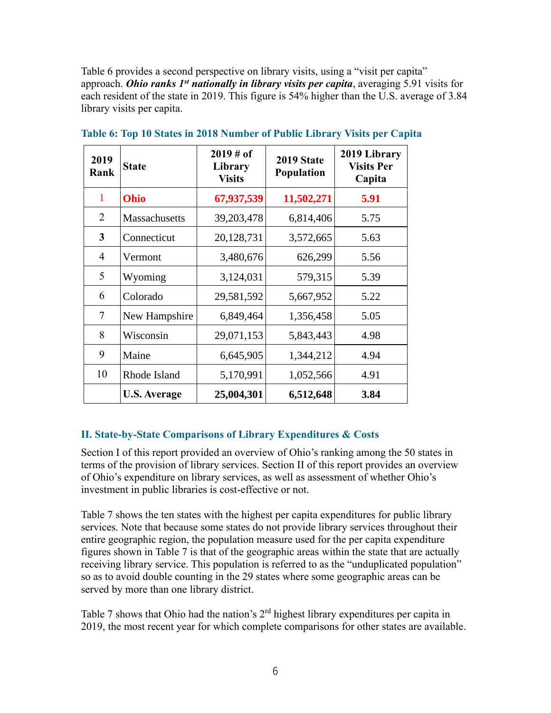Table 6 provides a second perspective on library visits, using a "visit per capita" approach. *Ohio ranks 1st nationally in library visits per capita*, averaging 5.91 visits for each resident of the state in 2019. This figure is 54% higher than the U.S. average of 3.84 library visits per capita.

| 2019<br>Rank   | <b>State</b>        | $2019 \# of$<br>Library<br><b>Visits</b> | 2019 State<br><b>Population</b> | 2019 Library<br><b>Visits Per</b><br>Capita |
|----------------|---------------------|------------------------------------------|---------------------------------|---------------------------------------------|
| 1              | Ohio                | 67,937,539                               | 11,502,271                      | 5.91                                        |
| 2              | Massachusetts       | 39,203,478                               | 6,814,406                       | 5.75                                        |
| 3              | Connecticut         | 20,128,731                               | 3,572,665                       | 5.63                                        |
| $\overline{4}$ | Vermont             | 3,480,676                                | 626,299                         | 5.56                                        |
| 5              | Wyoming             | 3,124,031                                | 579,315                         | 5.39                                        |
| 6              | Colorado            | 29,581,592                               | 5,667,952                       | 5.22                                        |
| $\tau$         | New Hampshire       | 6,849,464                                | 1,356,458                       | 5.05                                        |
| 8              | Wisconsin           | 29,071,153                               | 5,843,443                       | 4.98                                        |
| 9              | Maine               | 6,645,905                                | 1,344,212                       | 4.94                                        |
| 10             | Rhode Island        | 5,170,991                                | 1,052,566                       | 4.91                                        |
|                | <b>U.S. Average</b> | 25,004,301                               | 6,512,648                       | 3.84                                        |

**Table 6: Top 10 States in 2018 Number of Public Library Visits per Capita**

## **II. State-by-State Comparisons of Library Expenditures & Costs**

Section I of this report provided an overview of Ohio's ranking among the 50 states in terms of the provision of library services. Section II of this report provides an overview of Ohio's expenditure on library services, as well as assessment of whether Ohio's investment in public libraries is cost-effective or not.

Table 7 shows the ten states with the highest per capita expenditures for public library services. Note that because some states do not provide library services throughout their entire geographic region, the population measure used for the per capita expenditure figures shown in Table 7 is that of the geographic areas within the state that are actually receiving library service. This population is referred to as the "unduplicated population" so as to avoid double counting in the 29 states where some geographic areas can be served by more than one library district.

Table 7 shows that Ohio had the nation's  $2<sup>rd</sup>$  highest library expenditures per capita in 2019, the most recent year for which complete comparisons for other states are available.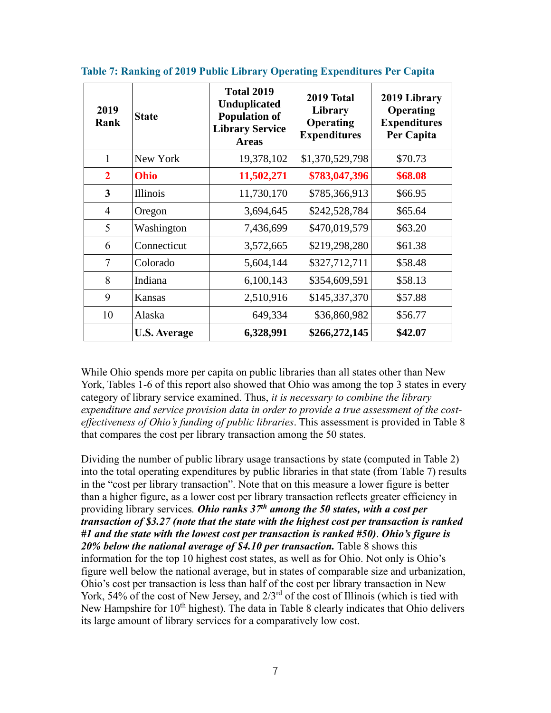| 2019<br>Rank   | <b>State</b>        | <b>Total 2019</b><br><b>Unduplicated</b><br><b>Population of</b><br><b>Library Service</b><br><b>Areas</b> | 2019 Total<br>Library<br>Operating<br><b>Expenditures</b> | 2019 Library<br>Operating<br><b>Expenditures</b><br>Per Capita |
|----------------|---------------------|------------------------------------------------------------------------------------------------------------|-----------------------------------------------------------|----------------------------------------------------------------|
| 1              | New York            | 19,378,102                                                                                                 | \$1,370,529,798                                           | \$70.73                                                        |
| $\overline{2}$ | Ohio                | 11,502,271                                                                                                 | \$783,047,396                                             | \$68.08                                                        |
| 3              | <b>Illinois</b>     | 11,730,170                                                                                                 | \$785,366,913                                             | \$66.95                                                        |
| $\overline{4}$ | Oregon              | 3,694,645                                                                                                  | \$242,528,784                                             | \$65.64                                                        |
| 5              | Washington          | 7,436,699                                                                                                  | \$470,019,579                                             | \$63.20                                                        |
| 6              | Connecticut         | 3,572,665                                                                                                  | \$219,298,280                                             | \$61.38                                                        |
| $\overline{7}$ | Colorado            | 5,604,144                                                                                                  | \$327,712,711                                             | \$58.48                                                        |
| 8              | Indiana             | 6,100,143                                                                                                  | \$354,609,591                                             | \$58.13                                                        |
| 9              | <b>Kansas</b>       | 2,510,916                                                                                                  | \$145,337,370                                             | \$57.88                                                        |
| 10             | Alaska              | 649,334                                                                                                    | \$36,860,982                                              | \$56.77                                                        |
|                | <b>U.S. Average</b> | 6,328,991                                                                                                  | \$266,272,145                                             | \$42.07                                                        |

**Table 7: Ranking of 2019 Public Library Operating Expenditures Per Capita**

While Ohio spends more per capita on public libraries than all states other than New York, Tables 1-6 of this report also showed that Ohio was among the top 3 states in every category of library service examined. Thus, *it is necessary to combine the library expenditure and service provision data in order to provide a true assessment of the costeffectiveness of Ohio's funding of public libraries*. This assessment is provided in Table 8 that compares the cost per library transaction among the 50 states.

Dividing the number of public library usage transactions by state (computed in Table 2) into the total operating expenditures by public libraries in that state (from Table 7) results in the "cost per library transaction". Note that on this measure a lower figure is better than a higher figure, as a lower cost per library transaction reflects greater efficiency in providing library services*. Ohio ranks 37th among the 50 states, with a cost per transaction of \$3.27 (note that the state with the highest cost per transaction is ranked #1 and the state with the lowest cost per transaction is ranked #50)*. *Ohio's figure is 20% below the national average of \$4.10 per transaction.* Table 8 shows this information for the top 10 highest cost states, as well as for Ohio. Not only is Ohio's figure well below the national average, but in states of comparable size and urbanization, Ohio's cost per transaction is less than half of the cost per library transaction in New York, 54% of the cost of New Jersey, and  $2/3^{rd}$  of the cost of Illinois (which is tied with New Hampshire for  $10<sup>th</sup>$  highest). The data in Table 8 clearly indicates that Ohio delivers its large amount of library services for a comparatively low cost.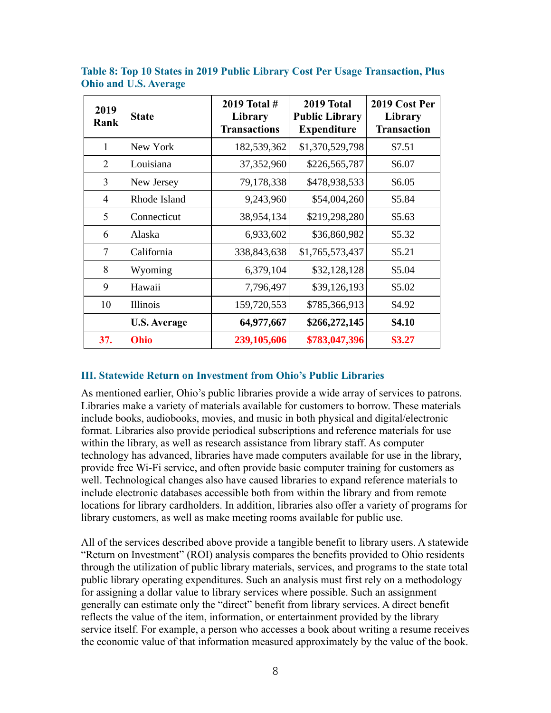| 2019<br>Rank   | <b>State</b>        | 2019 Total #<br>Library<br><b>Transactions</b> | 2019 Total<br><b>Public Library</b><br><b>Expenditure</b> | 2019 Cost Per<br>Library<br><b>Transaction</b> |
|----------------|---------------------|------------------------------------------------|-----------------------------------------------------------|------------------------------------------------|
| $\mathbf{1}$   | New York            | 182,539,362                                    | \$1,370,529,798                                           | \$7.51                                         |
| 2              | Louisiana           | 37,352,960                                     | \$226,565,787                                             | \$6.07                                         |
| 3              | New Jersey          | 79,178,338                                     | \$478,938,533                                             | \$6.05                                         |
| $\overline{4}$ | Rhode Island        | 9,243,960                                      | \$54,004,260                                              | \$5.84                                         |
| 5              | Connecticut         | 38,954,134                                     | \$219,298,280                                             | \$5.63                                         |
| 6              | Alaska              | 6,933,602                                      | \$36,860,982                                              | \$5.32                                         |
| 7              | California          | 338,843,638                                    | \$1,765,573,437                                           | \$5.21                                         |
| 8              | Wyoming             | 6,379,104                                      | \$32,128,128                                              | \$5.04                                         |
| 9              | Hawaii              | 7,796,497                                      | \$39,126,193                                              | \$5.02                                         |
| 10             | Illinois            | 159,720,553                                    | \$785,366,913                                             | \$4.92                                         |
|                | <b>U.S. Average</b> | 64,977,667                                     | \$266,272,145                                             | \$4.10                                         |
| 37.            | Ohio                | 239,105,606                                    | \$783,047,396                                             | \$3.27                                         |

**Table 8: Top 10 States in 2019 Public Library Cost Per Usage Transaction, Plus Ohio and U.S. Average**

#### **III. Statewide Return on Investment from Ohio's Public Libraries**

As mentioned earlier, Ohio's public libraries provide a wide array of services to patrons. Libraries make a variety of materials available for customers to borrow. These materials include books, audiobooks, movies, and music in both physical and digital/electronic format. Libraries also provide periodical subscriptions and reference materials for use within the library, as well as research assistance from library staff. As computer technology has advanced, libraries have made computers available for use in the library, provide free Wi-Fi service, and often provide basic computer training for customers as well. Technological changes also have caused libraries to expand reference materials to include electronic databases accessible both from within the library and from remote locations for library cardholders. In addition, libraries also offer a variety of programs for library customers, as well as make meeting rooms available for public use.

All of the services described above provide a tangible benefit to library users. A statewide "Return on Investment" (ROI) analysis compares the benefits provided to Ohio residents through the utilization of public library materials, services, and programs to the state total public library operating expenditures. Such an analysis must first rely on a methodology for assigning a dollar value to library services where possible. Such an assignment generally can estimate only the "direct" benefit from library services. A direct benefit reflects the value of the item, information, or entertainment provided by the library service itself. For example, a person who accesses a book about writing a resume receives the economic value of that information measured approximately by the value of the book.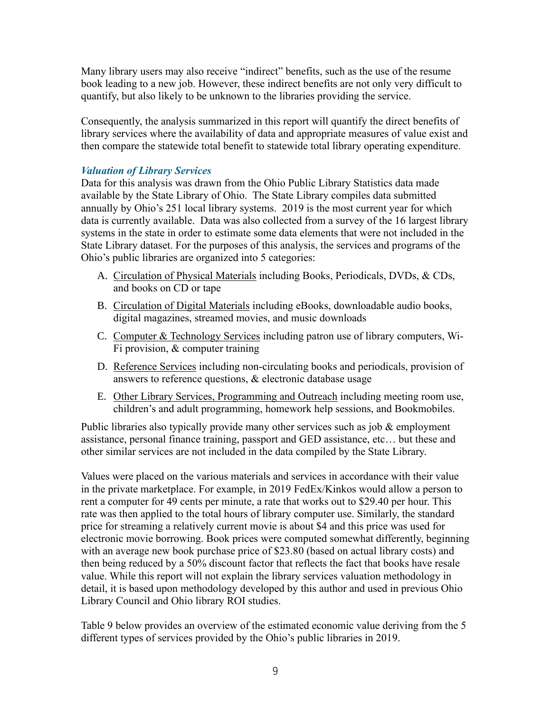Many library users may also receive "indirect" benefits, such as the use of the resume book leading to a new job. However, these indirect benefits are not only very difficult to quantify, but also likely to be unknown to the libraries providing the service.

Consequently, the analysis summarized in this report will quantify the direct benefits of library services where the availability of data and appropriate measures of value exist and then compare the statewide total benefit to statewide total library operating expenditure.

## *Valuation of Library Services*

Data for this analysis was drawn from the Ohio Public Library Statistics data made available by the State Library of Ohio. The State Library compiles data submitted annually by Ohio's 251 local library systems. 2019 is the most current year for which data is currently available. Data was also collected from a survey of the 16 largest library systems in the state in order to estimate some data elements that were not included in the State Library dataset. For the purposes of this analysis, the services and programs of the Ohio's public libraries are organized into 5 categories:

- A. Circulation of Physical Materials including Books, Periodicals, DVDs, & CDs, and books on CD or tape
- B. Circulation of Digital Materials including eBooks, downloadable audio books, digital magazines, streamed movies, and music downloads
- C. Computer & Technology Services including patron use of library computers, Wi-Fi provision, & computer training
- D. Reference Services including non-circulating books and periodicals, provision of answers to reference questions, & electronic database usage
- E. Other Library Services, Programming and Outreach including meeting room use, children's and adult programming, homework help sessions, and Bookmobiles.

Public libraries also typically provide many other services such as job  $\&$  employment assistance, personal finance training, passport and GED assistance, etc… but these and other similar services are not included in the data compiled by the State Library.

Values were placed on the various materials and services in accordance with their value in the private marketplace. For example, in 2019 FedEx/Kinkos would allow a person to rent a computer for 49 cents per minute, a rate that works out to \$29.40 per hour. This rate was then applied to the total hours of library computer use. Similarly, the standard price for streaming a relatively current movie is about \$4 and this price was used for electronic movie borrowing. Book prices were computed somewhat differently, beginning with an average new book purchase price of \$23.80 (based on actual library costs) and then being reduced by a 50% discount factor that reflects the fact that books have resale value. While this report will not explain the library services valuation methodology in detail, it is based upon methodology developed by this author and used in previous Ohio Library Council and Ohio library ROI studies.

Table 9 below provides an overview of the estimated economic value deriving from the 5 different types of services provided by the Ohio's public libraries in 2019.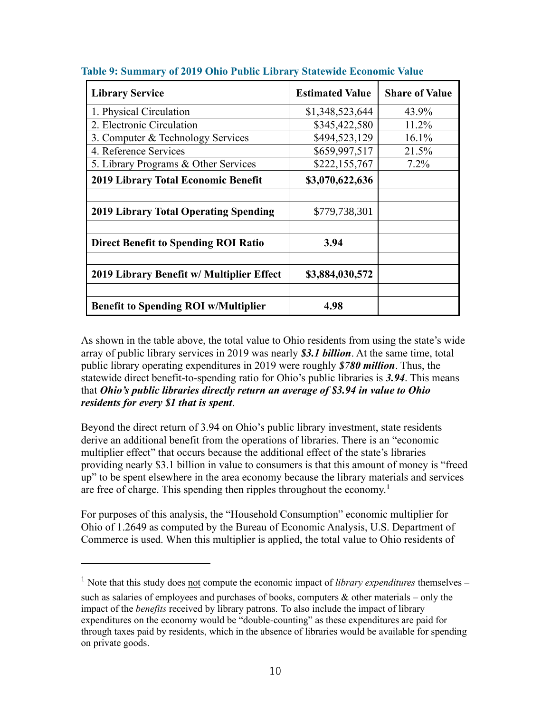| <b>Library Service</b>                       | <b>Estimated Value</b> | <b>Share of Value</b> |
|----------------------------------------------|------------------------|-----------------------|
| 1. Physical Circulation                      | \$1,348,523,644        | 43.9%                 |
| 2. Electronic Circulation                    | \$345,422,580          | 11.2%                 |
| 3. Computer & Technology Services            | \$494,523,129          | 16.1%                 |
| 4. Reference Services                        | \$659,997,517          | 21.5%                 |
| 5. Library Programs & Other Services         | \$222,155,767          | $7.2\%$               |
| 2019 Library Total Economic Benefit          | \$3,070,622,636        |                       |
|                                              |                        |                       |
| <b>2019 Library Total Operating Spending</b> | \$779,738,301          |                       |
|                                              |                        |                       |
| <b>Direct Benefit to Spending ROI Ratio</b>  | 3.94                   |                       |
|                                              |                        |                       |
| 2019 Library Benefit w/ Multiplier Effect    | \$3,884,030,572        |                       |
|                                              |                        |                       |
| <b>Benefit to Spending ROI w/Multiplier</b>  | 4.98                   |                       |

**Table 9: Summary of 2019 Ohio Public Library Statewide Economic Value**

As shown in the table above, the total value to Ohio residents from using the state's wide array of public library services in 2019 was nearly *\$3.1 billion*. At the same time, total public library operating expenditures in 2019 were roughly *\$780 million*. Thus, the statewide direct benefit-to-spending ratio for Ohio's public libraries is *3.94*. This means that *Ohio's public libraries directly return an average of \$3.94 in value to Ohio residents for every \$1 that is spent*.

Beyond the direct return of 3.94 on Ohio's public library investment, state residents derive an additional benefit from the operations of libraries. There is an "economic multiplier effect" that occurs because the additional effect of the state's libraries providing nearly \$3.1 billion in value to consumers is that this amount of money is "freed up" to be spent elsewhere in the area economy because the library materials and services are free of charge. This spending then ripples throughout the economy.<sup>1</sup>

For purposes of this analysis, the "Household Consumption" economic multiplier for Ohio of 1.2649 as computed by the Bureau of Economic Analysis, U.S. Department of Commerce is used. When this multiplier is applied, the total value to Ohio residents of

<sup>1</sup> Note that this study does not compute the economic impact of *library expenditures* themselves – such as salaries of employees and purchases of books, computers  $\&$  other materials – only the impact of the *benefits* received by library patrons. To also include the impact of library expenditures on the economy would be "double-counting" as these expenditures are paid for through taxes paid by residents, which in the absence of libraries would be available for spending on private goods.